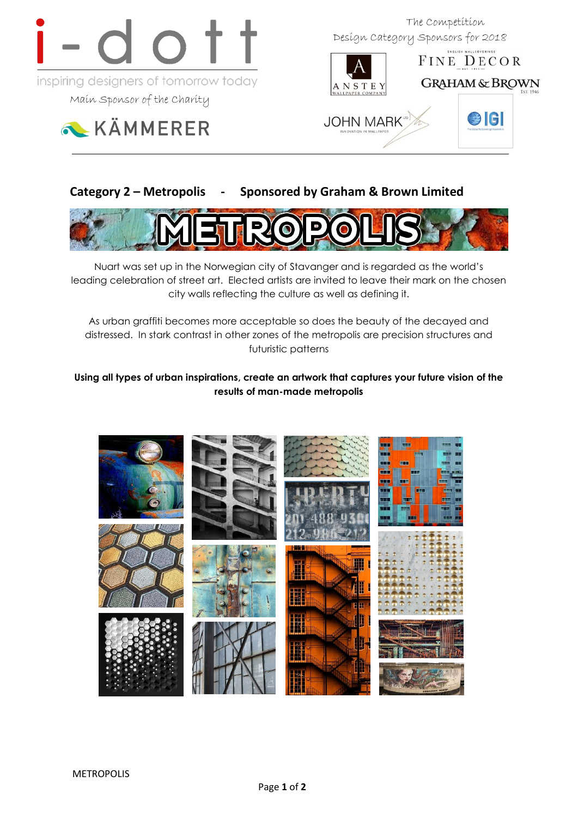

Main Sponsor of the Charity



 The Competition Design Category Sponsors for 2018



FINE DECOR **GRAHAM & BROWN** 

elgi



# **Category 2 – Metropolis - Sponsored by Graham & Brown Limited**



Nuart was set up in the Norwegian city of Stavanger and is regarded as the world's leading celebration of street art. Elected artists are invited to leave their mark on the chosen city walls reflecting the culture as well as defining it.

As urban graffiti becomes more acceptable so does the beauty of the decayed and distressed. In stark contrast in other zones of the metropolis are precision structures and futuristic patterns

### **Using all types of urban inspirations, create an artwork that captures your future vision of the results of man-made metropolis**